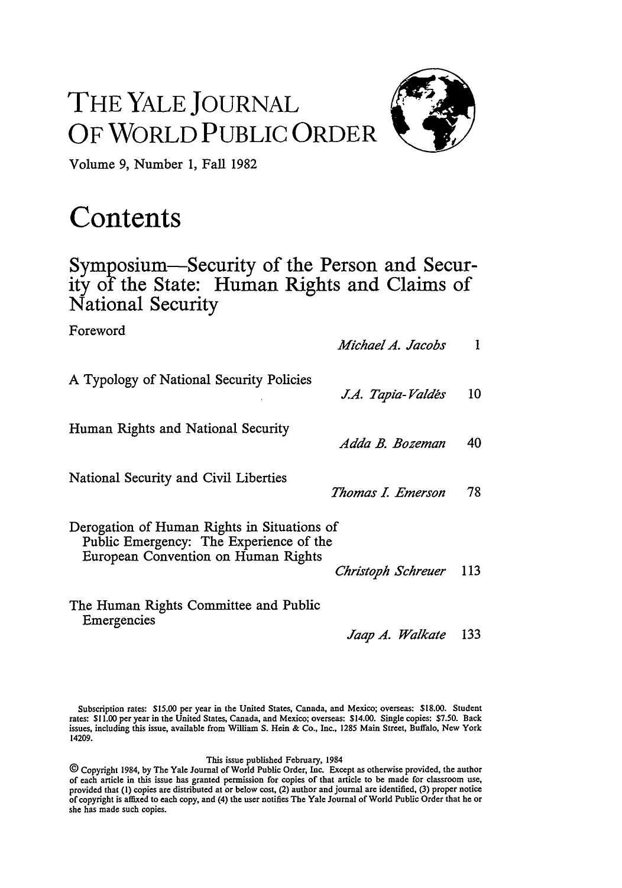## THE YALE **JOURNAL** OF WORLD **PUBLIC** ORDER



Volume **9,** Number **1,** Fall **1982**

## **Contents**

## Symposium-Security of the Person and Security of the State: Human Rights and Claims of National Security

| Foreword                                                                                                                      | Michael A. Jacobs  | 1   |
|-------------------------------------------------------------------------------------------------------------------------------|--------------------|-----|
| A Typology of National Security Policies                                                                                      | J.A. Tapia-Valdés  | 10  |
| Human Rights and National Security                                                                                            | Adda B. Bozeman    | 40  |
| National Security and Civil Liberties                                                                                         | Thomas I. Emerson  | 78  |
| Derogation of Human Rights in Situations of<br>Public Emergency: The Experience of the<br>European Convention on Human Rights | Christoph Schreuer | 113 |
| The Human Rights Committee and Public                                                                                         |                    |     |

Emergencies

*Jaap 4. Walkate* <sup>133</sup>

Subscription rates: \$15.00 per year in the United States, Canada, and Mexico; overseas: **\$18.00.** Student rates: **\$11.00** per year in the United States, Canada, and Mexico; overseas: \$14.00. Single copies: **\$7.50.** Back issues, including this issue, available from William **S.** Hein & Co., Inc., 1285 Main Street, Buffalo, New York 14209.

## This issue published February, 1984

**@** Copyright 1984, by The Yale Journal of World Public Order, Inc. Except as otherwise provided, the author of each article in this issue has granted permission for copies of that article to be made for classroom use, provided that (I) copies are distributed at or below cost, (2) author and journal are identified, **(3)** proper notice of copyright is affixed to each copy, and (4) the user notifies The Yale Journal of World Public Order that he or she has made such copies.